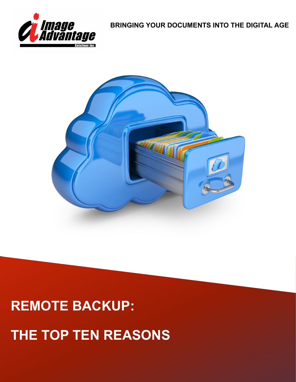

**BRINGING YOUR DOCUMENTS INTO THE DIGITAL AGE**



## **REMOTE BACKUP:**

# **THE TOP TEN REASONS**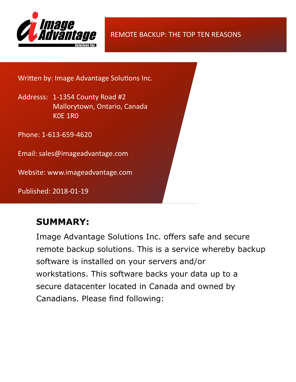

REMOTE BACKUP: THE TOP TEN REASONS

Written by: Image Advantage Solutions Inc.

Addresss: 1-1354 County Road #2 Mallorytown, Ontario, Canada K0E 1R0

Phone: 1-613-659-4620

Email: sales@imageadvantage.com

Website: www.imageadvantage.com

Published: 2018-01-19

### **SUMMARY:**

Image Advantage Solutions Inc. offers safe and secure remote backup solutions. This is a service whereby backup software is installed on your servers and/or workstations. This software backs your data up to a secure datacenter located in Canada and owned by Canadians. Please find following: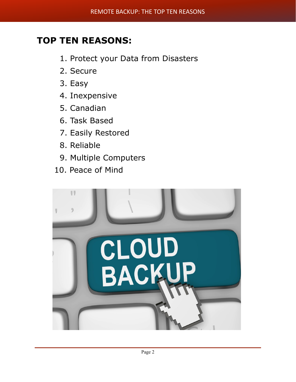## **TOP TEN REASONS:**

- 1. Protect your Data from Disasters
- 2. Secure
- 3. Easy
- 4. Inexpensive
- 5. Canadian
- 6. Task Based
- 7. Easily Restored
- 8. Reliable
- 9. Multiple Computers
- 10. Peace of Mind

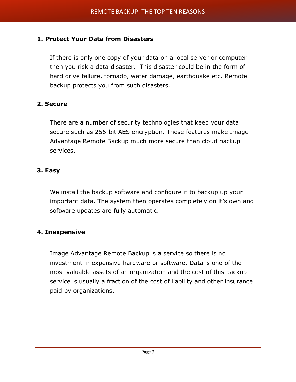#### **1. Protect Your Data from Disasters**

If there is only one copy of your data on a local server or computer then you risk a data disaster. This disaster could be in the form of hard drive failure, tornado, water damage, earthquake etc. Remote backup protects you from such disasters.

#### **2. Secure**

There are a number of security technologies that keep your data secure such as 256-bit AES encryption. These features make Image Advantage Remote Backup much more secure than cloud backup services.

#### **3. Easy**

We install the backup software and configure it to backup up your important data. The system then operates completely on it's own and software updates are fully automatic.

#### **4. Inexpensive**

Image Advantage Remote Backup is a service so there is no investment in expensive hardware or software. Data is one of the most valuable assets of an organization and the cost of this backup service is usually a fraction of the cost of liability and other insurance paid by organizations.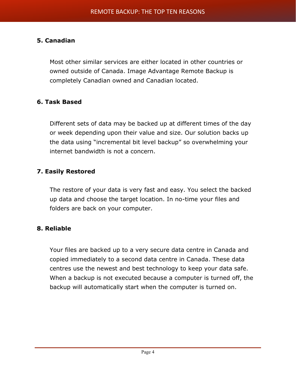#### **5. Canadian**

Most other similar services are either located in other countries or owned outside of Canada. Image Advantage Remote Backup is completely Canadian owned and Canadian located.

#### **6. Task Based**

Different sets of data may be backed up at different times of the day or week depending upon their value and size. Our solution backs up the data using "incremental bit level backup" so overwhelming your internet bandwidth is not a concern.

#### **7. Easily Restored**

The restore of your data is very fast and easy. You select the backed up data and choose the target location. In no-time your files and folders are back on your computer.

#### **8. Reliable**

Your files are backed up to a very secure data centre in Canada and copied immediately to a second data centre in Canada. These data centres use the newest and best technology to keep your data safe. When a backup is not executed because a computer is turned off, the backup will automatically start when the computer is turned on.